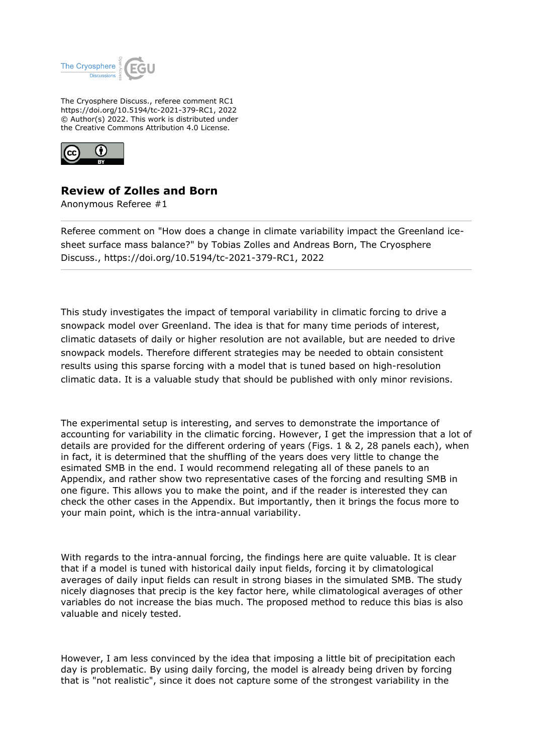

The Cryosphere Discuss., referee comment RC1 https://doi.org/10.5194/tc-2021-379-RC1, 2022 © Author(s) 2022. This work is distributed under the Creative Commons Attribution 4.0 License.



## **Review of Zolles and Born**

Anonymous Referee #1

Referee comment on "How does a change in climate variability impact the Greenland icesheet surface mass balance?" by Tobias Zolles and Andreas Born, The Cryosphere Discuss., https://doi.org/10.5194/tc-2021-379-RC1, 2022

This study investigates the impact of temporal variability in climatic forcing to drive a snowpack model over Greenland. The idea is that for many time periods of interest, climatic datasets of daily or higher resolution are not available, but are needed to drive snowpack models. Therefore different strategies may be needed to obtain consistent results using this sparse forcing with a model that is tuned based on high-resolution climatic data. It is a valuable study that should be published with only minor revisions.

The experimental setup is interesting, and serves to demonstrate the importance of accounting for variability in the climatic forcing. However, I get the impression that a lot of details are provided for the different ordering of years (Figs. 1 & 2, 28 panels each), when in fact, it is determined that the shuffling of the years does very little to change the esimated SMB in the end. I would recommend relegating all of these panels to an Appendix, and rather show two representative cases of the forcing and resulting SMB in one figure. This allows you to make the point, and if the reader is interested they can check the other cases in the Appendix. But importantly, then it brings the focus more to your main point, which is the intra-annual variability.

With regards to the intra-annual forcing, the findings here are quite valuable. It is clear that if a model is tuned with historical daily input fields, forcing it by climatological averages of daily input fields can result in strong biases in the simulated SMB. The study nicely diagnoses that precip is the key factor here, while climatological averages of other variables do not increase the bias much. The proposed method to reduce this bias is also valuable and nicely tested.

However, I am less convinced by the idea that imposing a little bit of precipitation each day is problematic. By using daily forcing, the model is already being driven by forcing that is "not realistic", since it does not capture some of the strongest variability in the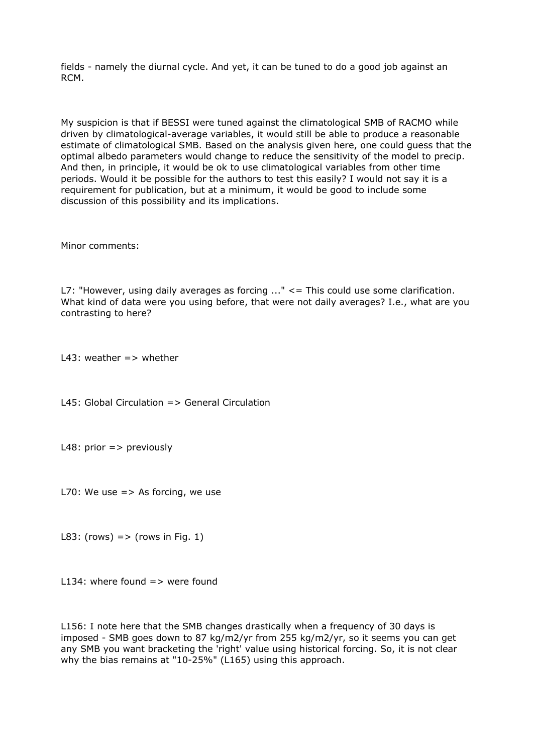fields - namely the diurnal cycle. And yet, it can be tuned to do a good job against an RCM.

My suspicion is that if BESSI were tuned against the climatological SMB of RACMO while driven by climatological-average variables, it would still be able to produce a reasonable estimate of climatological SMB. Based on the analysis given here, one could guess that the optimal albedo parameters would change to reduce the sensitivity of the model to precip. And then, in principle, it would be ok to use climatological variables from other time periods. Would it be possible for the authors to test this easily? I would not say it is a requirement for publication, but at a minimum, it would be good to include some discussion of this possibility and its implications.

Minor comments:

L7: "However, using daily averages as forcing  $\ldots$ "  $\leq$  = This could use some clarification. What kind of data were you using before, that were not daily averages? I.e., what are you contrasting to here?

L43: weather  $\Rightarrow$  whether

L45: Global Circulation => General Circulation

L48: prior  $\Rightarrow$  previously

L70: We use  $\Rightarrow$  As forcing, we use

L83: (rows)  $\Rightarrow$  (rows in Fig. 1)

L134: where found  $\equiv$  were found

L156: I note here that the SMB changes drastically when a frequency of 30 days is imposed - SMB goes down to 87 kg/m2/yr from 255 kg/m2/yr, so it seems you can get any SMB you want bracketing the 'right' value using historical forcing. So, it is not clear why the bias remains at "10-25%" (L165) using this approach.